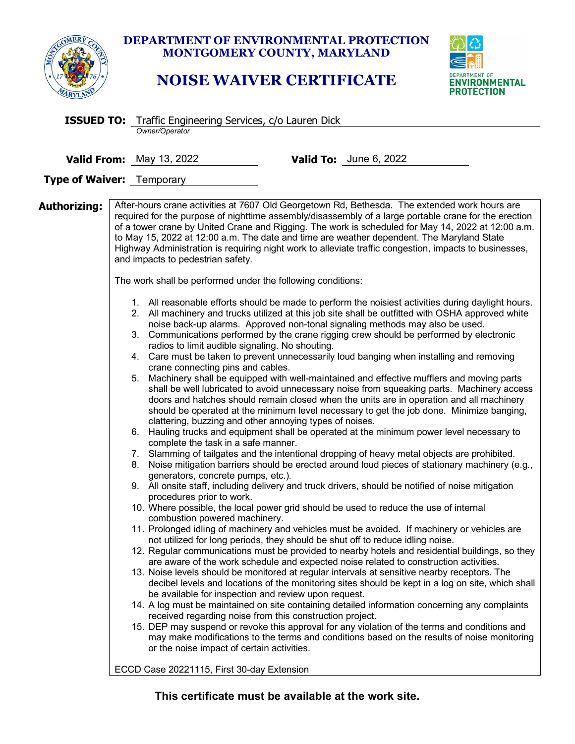

## **DEPARTMENT OF ENVIRONMENTAL PROTECTION MONTGOMERY COUNTY, MARYLAND**

## **NOISE WAIVER CERTIFICATE**



|              | <b>ISSUED TO:</b> Traffic Engineering Services, c/o Lauren Dick                                                                                                                                                                                                                                                                                                                                                                                                                                                                                                                                                                                                                                                                                                                                                                                                                                                                                                                                                                                                                                                                                                                                                                                                                                                                                                                                                                                                                                                                                                                                                                                                                                                                                                                                                                                                                                                                                                                                                                                                                                                                                                                                                                                                                                                                                                                                                                                                                                                                                                                                                                                                                                                                                                                                                                                                                                                                                                                                                                                                                                                                                                                                       |  |  |
|--------------|-------------------------------------------------------------------------------------------------------------------------------------------------------------------------------------------------------------------------------------------------------------------------------------------------------------------------------------------------------------------------------------------------------------------------------------------------------------------------------------------------------------------------------------------------------------------------------------------------------------------------------------------------------------------------------------------------------------------------------------------------------------------------------------------------------------------------------------------------------------------------------------------------------------------------------------------------------------------------------------------------------------------------------------------------------------------------------------------------------------------------------------------------------------------------------------------------------------------------------------------------------------------------------------------------------------------------------------------------------------------------------------------------------------------------------------------------------------------------------------------------------------------------------------------------------------------------------------------------------------------------------------------------------------------------------------------------------------------------------------------------------------------------------------------------------------------------------------------------------------------------------------------------------------------------------------------------------------------------------------------------------------------------------------------------------------------------------------------------------------------------------------------------------------------------------------------------------------------------------------------------------------------------------------------------------------------------------------------------------------------------------------------------------------------------------------------------------------------------------------------------------------------------------------------------------------------------------------------------------------------------------------------------------------------------------------------------------------------------------------------------------------------------------------------------------------------------------------------------------------------------------------------------------------------------------------------------------------------------------------------------------------------------------------------------------------------------------------------------------------------------------------------------------------------------------------------------------|--|--|
|              | Owner/Operator                                                                                                                                                                                                                                                                                                                                                                                                                                                                                                                                                                                                                                                                                                                                                                                                                                                                                                                                                                                                                                                                                                                                                                                                                                                                                                                                                                                                                                                                                                                                                                                                                                                                                                                                                                                                                                                                                                                                                                                                                                                                                                                                                                                                                                                                                                                                                                                                                                                                                                                                                                                                                                                                                                                                                                                                                                                                                                                                                                                                                                                                                                                                                                                        |  |  |
|              |                                                                                                                                                                                                                                                                                                                                                                                                                                                                                                                                                                                                                                                                                                                                                                                                                                                                                                                                                                                                                                                                                                                                                                                                                                                                                                                                                                                                                                                                                                                                                                                                                                                                                                                                                                                                                                                                                                                                                                                                                                                                                                                                                                                                                                                                                                                                                                                                                                                                                                                                                                                                                                                                                                                                                                                                                                                                                                                                                                                                                                                                                                                                                                                                       |  |  |
|              | Valid To: June 6, 2022<br><b>Valid From:</b> May 13, 2022                                                                                                                                                                                                                                                                                                                                                                                                                                                                                                                                                                                                                                                                                                                                                                                                                                                                                                                                                                                                                                                                                                                                                                                                                                                                                                                                                                                                                                                                                                                                                                                                                                                                                                                                                                                                                                                                                                                                                                                                                                                                                                                                                                                                                                                                                                                                                                                                                                                                                                                                                                                                                                                                                                                                                                                                                                                                                                                                                                                                                                                                                                                                             |  |  |
|              | <b>Type of Waiver:</b> Temporary                                                                                                                                                                                                                                                                                                                                                                                                                                                                                                                                                                                                                                                                                                                                                                                                                                                                                                                                                                                                                                                                                                                                                                                                                                                                                                                                                                                                                                                                                                                                                                                                                                                                                                                                                                                                                                                                                                                                                                                                                                                                                                                                                                                                                                                                                                                                                                                                                                                                                                                                                                                                                                                                                                                                                                                                                                                                                                                                                                                                                                                                                                                                                                      |  |  |
|              |                                                                                                                                                                                                                                                                                                                                                                                                                                                                                                                                                                                                                                                                                                                                                                                                                                                                                                                                                                                                                                                                                                                                                                                                                                                                                                                                                                                                                                                                                                                                                                                                                                                                                                                                                                                                                                                                                                                                                                                                                                                                                                                                                                                                                                                                                                                                                                                                                                                                                                                                                                                                                                                                                                                                                                                                                                                                                                                                                                                                                                                                                                                                                                                                       |  |  |
| Authorizing: | After-hours crane activities at 7607 Old Georgetown Rd, Bethesda. The extended work hours are<br>required for the purpose of nighttime assembly/disassembly of a large portable crane for the erection<br>of a tower crane by United Crane and Rigging. The work is scheduled for May 14, 2022 at 12:00 a.m.<br>to May 15, 2022 at 12:00 a.m. The date and time are weather dependent. The Maryland State<br>Highway Administration is requiring night work to alleviate traffic congestion, impacts to businesses,<br>and impacts to pedestrian safety.<br>The work shall be performed under the following conditions:<br>1. All reasonable efforts should be made to perform the noisiest activities during daylight hours.<br>2. All machinery and trucks utilized at this job site shall be outfitted with OSHA approved white<br>noise back-up alarms. Approved non-tonal signaling methods may also be used.<br>3. Communications performed by the crane rigging crew should be performed by electronic<br>radios to limit audible signaling. No shouting.<br>4. Care must be taken to prevent unnecessarily loud banging when installing and removing<br>crane connecting pins and cables.<br>5. Machinery shall be equipped with well-maintained and effective mufflers and moving parts<br>shall be well lubricated to avoid unnecessary noise from squeaking parts. Machinery access<br>doors and hatches should remain closed when the units are in operation and all machinery<br>should be operated at the minimum level necessary to get the job done. Minimize banging,<br>clattering, buzzing and other annoying types of noises.<br>6. Hauling trucks and equipment shall be operated at the minimum power level necessary to<br>complete the task in a safe manner.<br>7. Slamming of tailgates and the intentional dropping of heavy metal objects are prohibited.<br>8. Noise mitigation barriers should be erected around loud pieces of stationary machinery (e.g.,<br>generators, concrete pumps, etc.).<br>9. All onsite staff, including delivery and truck drivers, should be notified of noise mitigation<br>procedures prior to work.<br>10. Where possible, the local power grid should be used to reduce the use of internal<br>combustion powered machinery.<br>11. Prolonged idling of machinery and vehicles must be avoided. If machinery or vehicles are<br>not utilized for long periods, they should be shut off to reduce idling noise.<br>12. Regular communications must be provided to nearby hotels and residential buildings, so they<br>are aware of the work schedule and expected noise related to construction activities.<br>13. Noise levels should be monitored at regular intervals at sensitive nearby receptors. The<br>decibel levels and locations of the monitoring sites should be kept in a log on site, which shall<br>be available for inspection and review upon request.<br>14. A log must be maintained on site containing detailed information concerning any complaints<br>received regarding noise from this construction project.<br>15. DEP may suspend or revoke this approval for any violation of the terms and conditions and |  |  |
|              | may make modifications to the terms and conditions based on the results of noise monitoring<br>or the noise impact of certain activities.                                                                                                                                                                                                                                                                                                                                                                                                                                                                                                                                                                                                                                                                                                                                                                                                                                                                                                                                                                                                                                                                                                                                                                                                                                                                                                                                                                                                                                                                                                                                                                                                                                                                                                                                                                                                                                                                                                                                                                                                                                                                                                                                                                                                                                                                                                                                                                                                                                                                                                                                                                                                                                                                                                                                                                                                                                                                                                                                                                                                                                                             |  |  |
|              | ECCD Case 20221115, First 30-day Extension                                                                                                                                                                                                                                                                                                                                                                                                                                                                                                                                                                                                                                                                                                                                                                                                                                                                                                                                                                                                                                                                                                                                                                                                                                                                                                                                                                                                                                                                                                                                                                                                                                                                                                                                                                                                                                                                                                                                                                                                                                                                                                                                                                                                                                                                                                                                                                                                                                                                                                                                                                                                                                                                                                                                                                                                                                                                                                                                                                                                                                                                                                                                                            |  |  |

**This certificate must be available at the work site.**